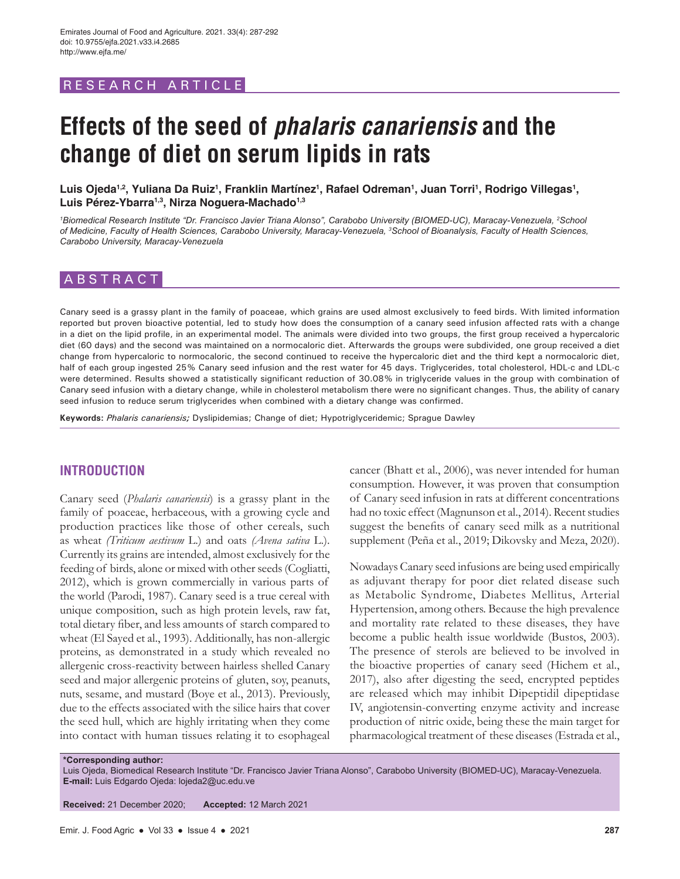# RESEARCH ARTICLE

# **Effects of the seed of** *phalaris canariensis* **and the change of diet on serum lipids in rats**

Luis Ojeda<sup>1,2</sup>, Yuliana Da Ruiz<sup>1</sup>, Franklin Martínez<sup>1</sup>, Rafael Odreman<sup>1</sup>, Juan Torri<sup>1</sup>, Rodrigo Villegas<sup>1</sup>, **Luis Pérez-Ybarra1,3, Nirza Noguera-Machado1,3**

*1 Biomedical Research Institute "Dr. Francisco Javier Triana Alonso", Carabobo University (BIOMED-UC), Maracay-Venezuela, 2 School of Medicine, Faculty of Health Sciences, Carabobo University, Maracay-Venezuela, 3 School of Bioanalysis, Faculty of Health Sciences, Carabobo University, Maracay-Venezuela*

# ABSTRACT

Canary seed is a grassy plant in the family of poaceae, which grains are used almost exclusively to feed birds. With limited information reported but proven bioactive potential, led to study how does the consumption of a canary seed infusion affected rats with a change in a diet on the lipid profile, in an experimental model. The animals were divided into two groups, the first group received a hypercaloric diet (60 days) and the second was maintained on a normocaloric diet. Afterwards the groups were subdivided, one group received a diet change from hypercaloric to normocaloric, the second continued to receive the hypercaloric diet and the third kept a normocaloric diet, half of each group ingested 25% Canary seed infusion and the rest water for 45 days. Triglycerides, total cholesterol, HDL-c and LDL-c were determined. Results showed a statistically significant reduction of 30.08% in triglyceride values in the group with combination of Canary seed infusion with a dietary change, while in cholesterol metabolism there were no significant changes. Thus, the ability of canary seed infusion to reduce serum triglycerides when combined with a dietary change was confirmed.

**Keywords:** *Phalaris canariensis;* Dyslipidemias; Change of diet; Hypotriglyceridemic; Sprague Dawley

## **INTRODUCTION**

Canary seed (*Phalaris canariensis*) is a grassy plant in the family of poaceae, herbaceous, with a growing cycle and production practices like those of other cereals, such as wheat *(Triticum aestivum* L.) and oats *(Avena sativa* L.). Currently its grains are intended, almost exclusively for the feeding of birds, alone or mixed with other seeds (Cogliatti, 2012), which is grown commercially in various parts of the world (Parodi, 1987). Canary seed is a true cereal with unique composition, such as high protein levels, raw fat, total dietary fiber, and less amounts of starch compared to wheat (El Sayed et al., 1993). Additionally, has non-allergic proteins, as demonstrated in a study which revealed no allergenic cross-reactivity between hairless shelled Canary seed and major allergenic proteins of gluten, soy, peanuts, nuts, sesame, and mustard (Boye et al., 2013). Previously, due to the effects associated with the silice hairs that cover the seed hull, which are highly irritating when they come into contact with human tissues relating it to esophageal cancer (Bhatt et al., 2006), was never intended for human consumption. However, it was proven that consumption of Canary seed infusion in rats at different concentrations had no toxic effect (Magnunson et al., 2014). Recent studies suggest the benefits of canary seed milk as a nutritional supplement (Peña et al., 2019; Dikovsky and Meza, 2020).

Nowadays Canary seed infusions are being used empirically as adjuvant therapy for poor diet related disease such as Metabolic Syndrome, Diabetes Mellitus, Arterial Hypertension, among others. Because the high prevalence and mortality rate related to these diseases, they have become a public health issue worldwide (Bustos, 2003). The presence of sterols are believed to be involved in the bioactive properties of canary seed (Hichem et al., 2017), also after digesting the seed, encrypted peptides are released which may inhibit Dipeptidil dipeptidase IV, angiotensin-converting enzyme activity and increase production of nitric oxide, being these the main target for pharmacological treatment of these diseases (Estrada et al.,

**\*Corresponding author:**

Luis Ojeda, Biomedical Research Institute "Dr. Francisco Javier Triana Alonso", Carabobo University (BIOMED-UC), Maracay-Venezuela. **E-mail:** Luis Edgardo Ojeda: lojeda2@uc.edu.ve

**Received:** 21 December 2020; **Accepted:** 12 March 2021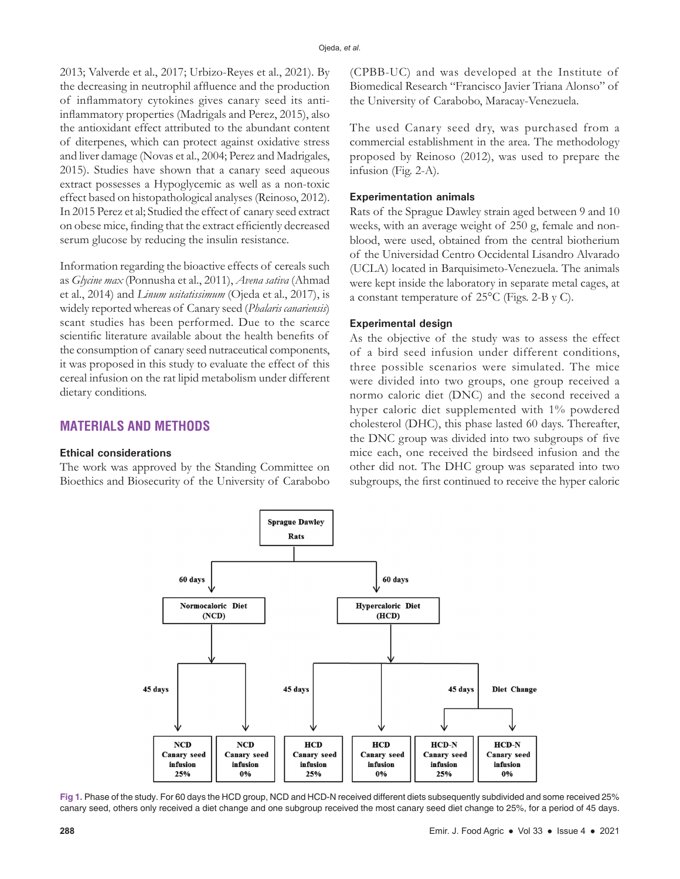2013; Valverde et al., 2017; Urbizo-Reyes et al., 2021). By the decreasing in neutrophil affluence and the production of inflammatory cytokines gives canary seed its antiinflammatory properties (Madrigals and Perez, 2015), also the antioxidant effect attributed to the abundant content of diterpenes, which can protect against oxidative stress and liver damage (Novas et al., 2004; Perez and Madrigales, 2015). Studies have shown that a canary seed aqueous extract possesses a Hypoglycemic as well as a non-toxic effect based on histopathological analyses (Reinoso, 2012). In 2015 Perez et al; Studied the effect of canary seed extract on obese mice, finding that the extract efficiently decreased serum glucose by reducing the insulin resistance.

Information regarding the bioactive effects of cereals such as *Glycine max* (Ponnusha et al., 2011), *Avena sativa* (Ahmad et al., 2014) and *Linum usitatissimum* (Ojeda et al., 2017), is widely reported whereas of Canary seed (*Phalaris canariensis*) scant studies has been performed. Due to the scarce scientific literature available about the health benefits of the consumption of canary seed nutraceutical components, it was proposed in this study to evaluate the effect of this cereal infusion on the rat lipid metabolism under different dietary conditions.

# **MATERIALS AND METHODS**

#### **Ethical considerations**

The work was approved by the Standing Committee on Bioethics and Biosecurity of the University of Carabobo (CPBB-UC) and was developed at the Institute of Biomedical Research "Francisco Javier Triana Alonso" of the University of Carabobo, Maracay-Venezuela.

The used Canary seed dry, was purchased from a commercial establishment in the area. The methodology proposed by Reinoso (2012), was used to prepare the infusion (Fig. 2-A).

#### **Experimentation animals**

Rats of the Sprague Dawley strain aged between 9 and 10 weeks, with an average weight of 250 g, female and nonblood, were used, obtained from the central biotherium of the Universidad Centro Occidental Lisandro Alvarado (UCLA) located in Barquisimeto-Venezuela. The animals were kept inside the laboratory in separate metal cages, at a constant temperature of 25°C (Figs. 2-B y C).

#### **Experimental design**

As the objective of the study was to assess the effect of a bird seed infusion under different conditions, three possible scenarios were simulated. The mice were divided into two groups, one group received a normo caloric diet (DNC) and the second received a hyper caloric diet supplemented with 1% powdered cholesterol (DHC), this phase lasted 60 days. Thereafter, the DNC group was divided into two subgroups of five mice each, one received the birdseed infusion and the other did not. The DHC group was separated into two subgroups, the first continued to receive the hyper caloric



**Fig 1.** Phase of the study. For 60 days the HCD group, NCD and HCD-N received different diets subsequently subdivided and some received 25% canary seed, others only received a diet change and one subgroup received the most canary seed diet change to 25%, for a period of 45 days.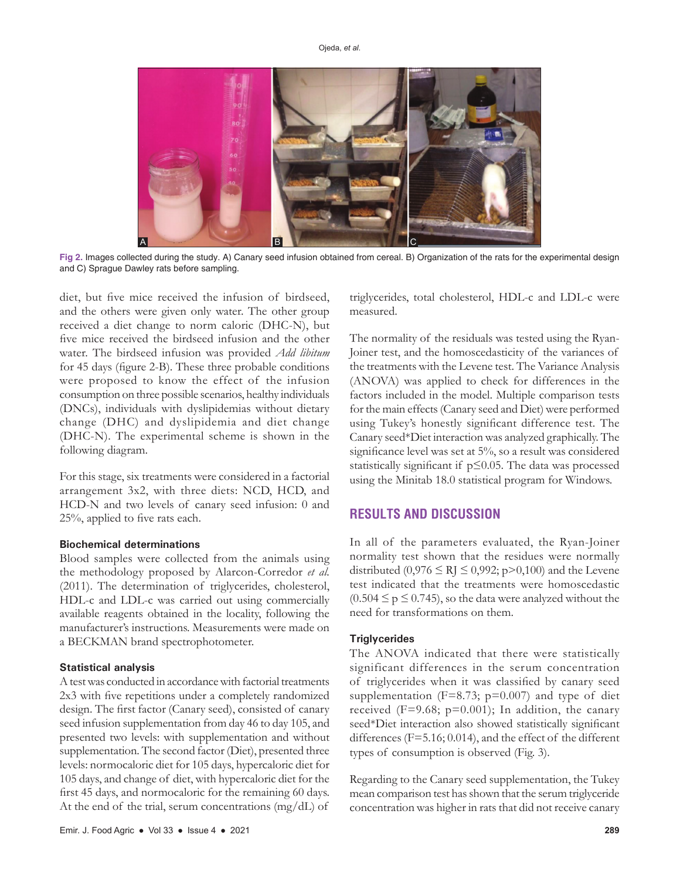

**Fig 2.** Images collected during the study. A) Canary seed infusion obtained from cereal. B) Organization of the rats for the experimental design and C) Sprague Dawley rats before sampling.

diet, but five mice received the infusion of birdseed, and the others were given only water. The other group received a diet change to norm caloric (DHC-N), but five mice received the birdseed infusion and the other water. The birdseed infusion was provided *Add libitum*  for 45 days (figure 2-B). These three probable conditions were proposed to know the effect of the infusion consumption on three possible scenarios, healthy individuals (DNCs), individuals with dyslipidemias without dietary change (DHC) and dyslipidemia and diet change (DHC-N). The experimental scheme is shown in the following diagram.

For this stage, six treatments were considered in a factorial arrangement 3x2, with three diets: NCD, HCD, and HCD-N and two levels of canary seed infusion: 0 and 25%, applied to five rats each.

#### **Biochemical determinations**

Blood samples were collected from the animals using the methodology proposed by Alarcon-Corredor *et al.* (2011). The determination of triglycerides, cholesterol, HDL-c and LDL-c was carried out using commercially available reagents obtained in the locality, following the manufacturer's instructions. Measurements were made on a BECKMAN brand spectrophotometer.

#### **Statistical analysis**

A test was conducted in accordance with factorial treatments 2x3 with five repetitions under a completely randomized design. The first factor (Canary seed), consisted of canary seed infusion supplementation from day 46 to day 105, and presented two levels: with supplementation and without supplementation. The second factor (Diet), presented three levels: normocaloric diet for 105 days, hypercaloric diet for 105 days, and change of diet, with hypercaloric diet for the first 45 days, and normocaloric for the remaining 60 days. At the end of the trial, serum concentrations (mg/dL) of triglycerides, total cholesterol, HDL-c and LDL-c were measured.

The normality of the residuals was tested using the Ryan-Joiner test, and the homoscedasticity of the variances of the treatments with the Levene test. The Variance Analysis (ANOVA) was applied to check for differences in the factors included in the model. Multiple comparison tests for the main effects (Canary seed and Diet) were performed using Tukey's honestly significant difference test. The Canary seed\*Diet interaction was analyzed graphically. The significance level was set at 5%, so a result was considered statistically significant if p≤0.05. The data was processed using the Minitab 18.0 statistical program for Windows.

# **RESULTS AND DISCUSSION**

In all of the parameters evaluated, the Ryan-Joiner normality test shown that the residues were normally distributed (0,976  $\leq$  RJ  $\leq$  0,992; p>0,100) and the Levene test indicated that the treatments were homoscedastic  $(0.504 \le p \le 0.745)$ , so the data were analyzed without the need for transformations on them.

#### **Triglycerides**

The ANOVA indicated that there were statistically significant differences in the serum concentration of triglycerides when it was classified by canary seed supplementation ( $F=8.73$ ;  $p=0.007$ ) and type of diet received ( $F=9.68$ ;  $p=0.001$ ); In addition, the canary seed\*Diet interaction also showed statistically significant differences (F=5.16; 0.014), and the effect of the different types of consumption is observed (Fig. 3).

Regarding to the Canary seed supplementation, the Tukey mean comparison test has shown that the serum triglyceride concentration was higher in rats that did not receive canary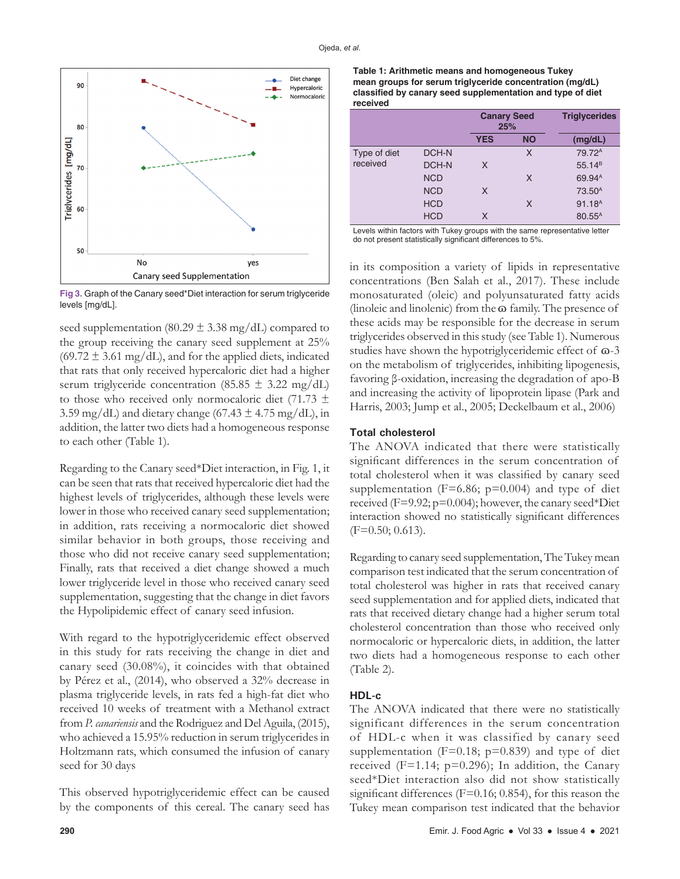

**Fig 3.** Graph of the Canary seed\*Diet interaction for serum triglyceride levels [mg/dL].

seed supplementation (80.29  $\pm$  3.38 mg/dL) compared to the group receiving the canary seed supplement at 25%  $(69.72 \pm 3.61 \text{ mg/dL})$ , and for the applied diets, indicated that rats that only received hypercaloric diet had a higher serum triglyceride concentration (85.85  $\pm$  3.22 mg/dL) to those who received only normocaloric diet (71.73  $\pm$ 3.59 mg/dL) and dietary change (67.43  $\pm$  4.75 mg/dL), in addition, the latter two diets had a homogeneous response to each other (Table 1).

Regarding to the Canary seed\*Diet interaction, in Fig. 1, it can be seen that rats that received hypercaloric diet had the highest levels of triglycerides, although these levels were lower in those who received canary seed supplementation; in addition, rats receiving a normocaloric diet showed similar behavior in both groups, those receiving and those who did not receive canary seed supplementation; Finally, rats that received a diet change showed a much lower triglyceride level in those who received canary seed supplementation, suggesting that the change in diet favors the Hypolipidemic effect of canary seed infusion.

With regard to the hypotriglyceridemic effect observed in this study for rats receiving the change in diet and canary seed (30.08%), it coincides with that obtained by Pérez et al., (2014), who observed a 32% decrease in plasma triglyceride levels, in rats fed a high-fat diet who received 10 weeks of treatment with a Methanol extract from *P. canariensis* and the Rodriguez and Del Aguila, (2015), who achieved a 15.95% reduction in serum triglycerides in Holtzmann rats, which consumed the infusion of canary seed for 30 days

This observed hypotriglyceridemic effect can be caused by the components of this cereal. The canary seed has

| Table 1: Arithmetic means and homogeneous Tukey                        |
|------------------------------------------------------------------------|
| mean groups for serum triglyceride concentration (mg/dL)               |
| classified by canary seed supplementation and type of diet<br>received |
|                                                                        |

|              |            | <b>Canary Seed</b><br>25% |           | <b>Triglycerides</b> |
|--------------|------------|---------------------------|-----------|----------------------|
|              |            | <b>YES</b>                | <b>NO</b> | (mg/dL)              |
| Type of diet | DCH-N      |                           | X         | 79.72 <sup>A</sup>   |
| received     | DCH-N      | X                         |           | $55.14^{B}$          |
|              | <b>NCD</b> |                           | X         | 69.94 <sup>A</sup>   |
|              | <b>NCD</b> | X                         |           | 73.50 <sup>A</sup>   |
|              | <b>HCD</b> |                           | X         | 91.18 <sup>A</sup>   |
|              | <b>HCD</b> | x                         |           | 80.55 <sup>A</sup>   |

Levels within factors with Tukey groups with the same representative letter do not present statistically significant differences to 5%.

in its composition a variety of lipids in representative concentrations (Ben Salah et al., 2017). These include monosaturated (oleic) and polyunsaturated fatty acids (linoleic and linolenic) from the  $\omega$  family. The presence of these acids may be responsible for the decrease in serum triglycerides observed in this study (see Table 1). Numerous studies have shown the hypotriglyceridemic effect of  $\omega$ -3 on the metabolism of triglycerides, inhibiting lipogenesis, favoring β-oxidation, increasing the degradation of apo-B and increasing the activity of lipoprotein lipase (Park and Harris, 2003; Jump et al., 2005; Deckelbaum et al., 2006)

## **Total cholesterol**

The ANOVA indicated that there were statistically significant differences in the serum concentration of total cholesterol when it was classified by canary seed supplementation ( $F=6.86$ ;  $p=0.004$ ) and type of diet received (F=9.92; p=0.004); however, the canary seed\*Diet interaction showed no statistically significant differences (F=0.50; 0.613).

Regarding to canary seed supplementation, The Tukey mean comparison test indicated that the serum concentration of total cholesterol was higher in rats that received canary seed supplementation and for applied diets, indicated that rats that received dietary change had a higher serum total cholesterol concentration than those who received only normocaloric or hypercaloric diets, in addition, the latter two diets had a homogeneous response to each other (Table 2).

## **HDL-c**

The ANOVA indicated that there were no statistically significant differences in the serum concentration of HDL-c when it was classified by canary seed supplementation ( $F=0.18$ ;  $p=0.839$ ) and type of diet received ( $F=1.14$ ;  $p=0.296$ ); In addition, the Canary seed\*Diet interaction also did not show statistically significant differences (F=0.16; 0.854), for this reason the Tukey mean comparison test indicated that the behavior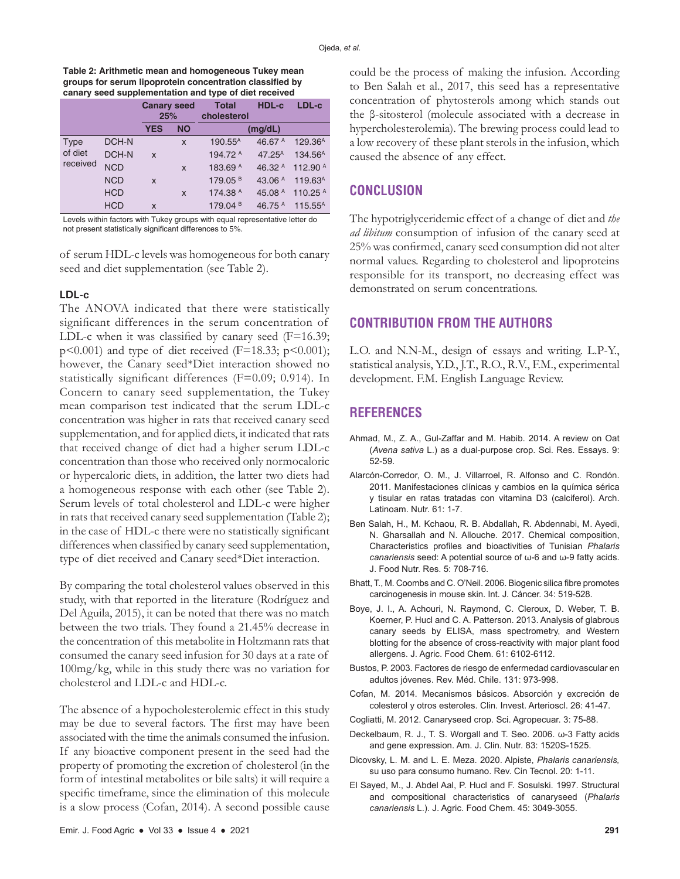#### **Table 2: Arithmetic mean and homogeneous Tukey mean groups for serum lipoprotein concentration classified by canary seed supplementation and type of diet received**

| <b>Canary seed</b><br>25%<br><b>YES</b><br><b>NO</b>          |              | <b>Total</b><br>cholesterol | HDL-c | LDL-c               |                    |                     |
|---------------------------------------------------------------|--------------|-----------------------------|-------|---------------------|--------------------|---------------------|
|                                                               |              |                             |       |                     | (mg/dL)            |                     |
| Type                                                          | DCH-N        |                             | X     | 190.55 <sup>A</sup> | 46.67 $A$          | 129.36 <sup>A</sup> |
| of diet<br>received<br><b>NCD</b><br><b>NCD</b><br><b>HCD</b> | <b>DCH-N</b> | X                           |       | 194.72 A            | 47.25 <sup>A</sup> | 134.56 <sup>A</sup> |
|                                                               |              |                             | X     | 183.69 A            | 46.32 $A$          | 112.90 A            |
|                                                               |              | X                           |       | 179.05 <sup>B</sup> | 43.06 $A$          | 119.63 <sup>A</sup> |
|                                                               |              |                             | X     | 174.38 A            | 45.08 A            | 110.25 $A$          |
|                                                               | <b>HCD</b>   | X                           |       | 179.04 <sup>B</sup> | 46.75 A            | $115.55^A$          |

Levels within factors with Tukey groups with equal representative letter do not present statistically significant differences to 5%.

of serum HDL-c levels was homogeneous for both canary seed and diet supplementation (see Table 2).

## **LDL-c**

The ANOVA indicated that there were statistically significant differences in the serum concentration of LDL-c when it was classified by canary seed  $(F=16.39;$  $p$ <0.001) and type of diet received (F=18.33;  $p$ <0.001); however, the Canary seed\*Diet interaction showed no statistically significant differences (F=0.09; 0.914). In Concern to canary seed supplementation, the Tukey mean comparison test indicated that the serum LDL-c concentration was higher in rats that received canary seed supplementation, and for applied diets, it indicated that rats that received change of diet had a higher serum LDL-c concentration than those who received only normocaloric or hypercaloric diets, in addition, the latter two diets had a homogeneous response with each other (see Table 2). Serum levels of total cholesterol and LDL-c were higher in rats that received canary seed supplementation (Table 2); in the case of HDL-c there were no statistically significant differences when classified by canary seed supplementation, type of diet received and Canary seed\*Diet interaction.

By comparing the total cholesterol values observed in this study, with that reported in the literature (Rodríguez and Del Aguila, 2015), it can be noted that there was no match between the two trials. They found a 21.45% decrease in the concentration of this metabolite in Holtzmann rats that consumed the canary seed infusion for 30 days at a rate of 100mg/kg, while in this study there was no variation for cholesterol and LDL-c and HDL-c.

The absence of a hypocholesterolemic effect in this study may be due to several factors. The first may have been associated with the time the animals consumed the infusion. If any bioactive component present in the seed had the property of promoting the excretion of cholesterol (in the form of intestinal metabolites or bile salts) it will require a specific timeframe, since the elimination of this molecule is a slow process (Cofan, 2014). A second possible cause could be the process of making the infusion. According to Ben Salah et al., 2017, this seed has a representative concentration of phytosterols among which stands out the β-sitosterol (molecule associated with a decrease in hypercholesterolemia). The brewing process could lead to a low recovery of these plant sterols in the infusion, which caused the absence of any effect.

## **CONCLUSION**

The hypotriglyceridemic effect of a change of diet and *the ad libitum* consumption of infusion of the canary seed at 25% was confirmed, canary seed consumption did not alter normal values. Regarding to cholesterol and lipoproteins responsible for its transport, no decreasing effect was demonstrated on serum concentrations.

# **CONTRIBUTION FROM THE AUTHORS**

L.O. and N.N-M., design of essays and writing. L.P-Y., statistical analysis, Y.D., J.T., R.O., R.V., F.M., experimental development. F.M. English Language Review.

# **REFERENCES**

- Ahmad, M., Z. A., Gul-Zaffar and M. Habib. 2014. A review on Oat (*Avena sativa* L.) as a dual-purpose crop. Sci. Res. Essays. 9: 52-59.
- Alarcón-Corredor, O. M., J. Villarroel, R. Alfonso and C. Rondón. 2011. Manifestaciones clínicas y cambios en la química sérica y tisular en ratas tratadas con vitamina D3 (calciferol). Arch. Latinoam. Nutr. 61: 1-7.
- Ben Salah, H., M. Kchaou, R. B. Abdallah, R. Abdennabi, M. Ayedi, N. Gharsallah and N. Allouche. 2017. Chemical composition, Characteristics profiles and bioactivities of Tunisian *Phalaris canariensis* seed: A potential source of ω-6 and ω-9 fatty acids. J. Food Nutr. Res. 5: 708-716.
- Bhatt, T., M. Coombs and C. O'Neil. 2006. Biogenic silica fibre promotes carcinogenesis in mouse skin. Int. J. Cáncer. 34: 519-528.
- Boye, J. I., A. Achouri, N. Raymond, C. Cleroux, D. Weber, T. B. Koerner, P. Hucl and C. A. Patterson. 2013. Analysis of glabrous canary seeds by ELISA, mass spectrometry, and Western blotting for the absence of cross-reactivity with major plant food allergens. J. Agric. Food Chem. 61: 6102-6112.
- Bustos, P. 2003. Factores de riesgo de enfermedad cardiovascular en adultos jóvenes. Rev. Méd. Chile. 131: 973-998.
- Cofan, M. 2014. Mecanismos básicos. Absorción y excreción de colesterol y otros esteroles. Clin. Invest. Arterioscl. 26: 41-47.
- Cogliatti, M. 2012. Canaryseed crop. Sci. Agropecuar. 3: 75-88.
- Deckelbaum, R. J., T. S. Worgall and T. Seo. 2006. ω-3 Fatty acids and gene expression. Am. J. Clin. Nutr. 83: 1520S-1525.
- Dicovsky, L. M. and L. E. Meza. 2020. Alpiste, *Phalaris canariensis,*  su uso para consumo humano. Rev. Cin Tecnol. 20: 1-11.
- El Sayed, M., J. Abdel Aal, P. Hucl and F. Sosulski. 1997. Structural and compositional characteristics of canaryseed (*Phalaris canariensis* L.). J. Agric. Food Chem. 45: 3049-3055.